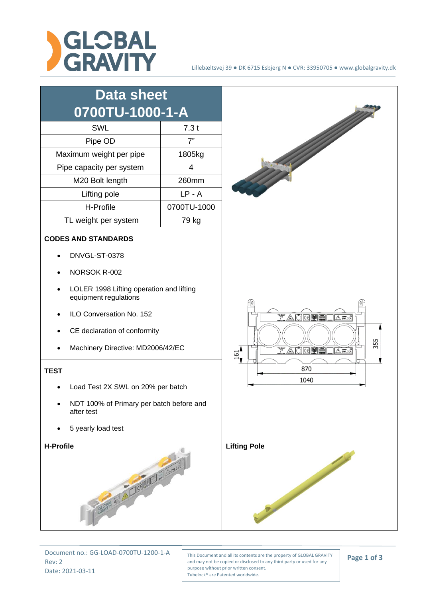



Document no.: GG-LOAD-0700TU-1200-1-A Rev: 2 Date: 2021-03-11

This Document and all its contents are the property of GLOBAL GRAVITY and may not be copied or disclosed to any third party or used for any purpose without prior written consent. Tubelock® are Patented worldwide.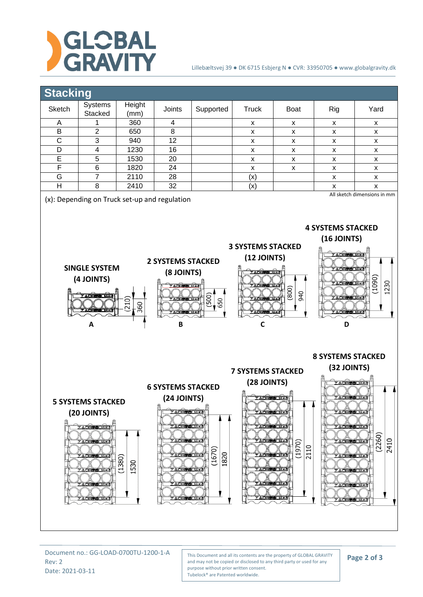

## Lillebæltsvej 39 ● DK 6715 Esbjerg N ● CVR: 33950705 ● www.globalgravity.dk



Document no.: GG-LOAD-0700TU-1200-1-A Rev: 2 Date: 2021-03-11

This Document and all its contents are the property of GLOBAL GRAVITY and may not be copied or disclosed to any third party or used for any purpose without prior written consent. Tubelock® are Patented worldwide.

## **Page 2 of 3**